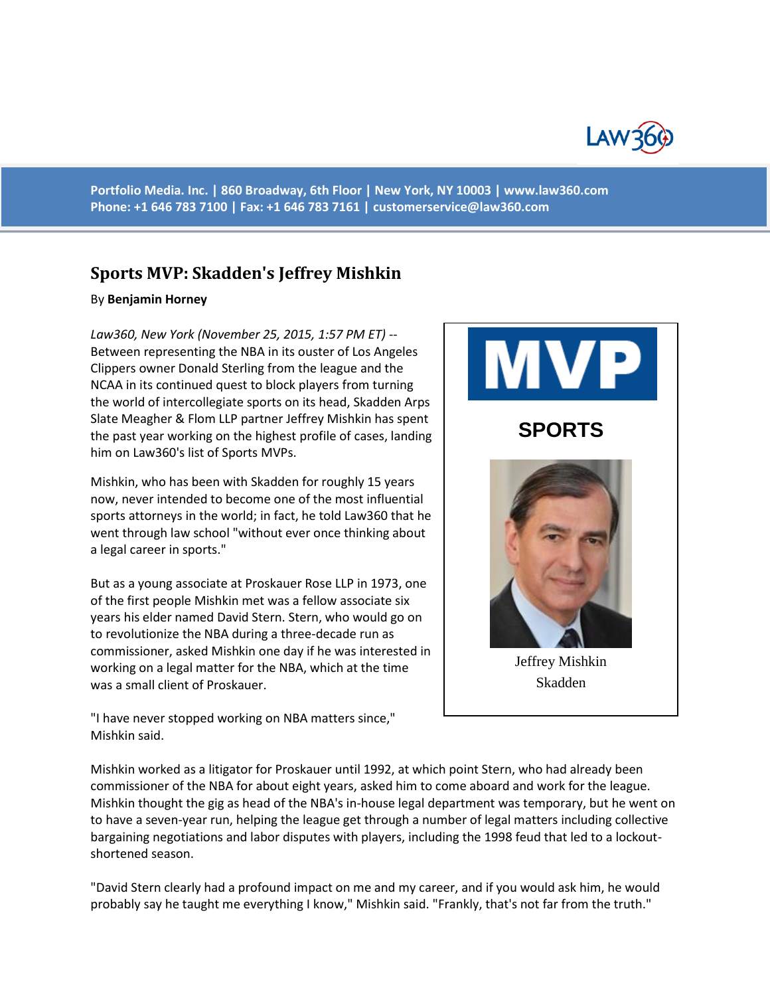

**Portfolio Media. Inc. | 860 Broadway, 6th Floor | New York, NY 10003 | www.law360.com Phone: +1 646 783 7100 | Fax: +1 646 783 7161 | [customerservice@law360.com](mailto:customerservice@law360.com)**

## **Sports MVP: Skadden's Jeffrey Mishkin**

## By **Benjamin Horney**

*Law360, New York (November 25, 2015, 1:57 PM ET)* -- Between representing the NBA in its ouster of Los Angeles Clippers owner Donald Sterling from the league and the NCAA in its continued quest to block players from turning the world of intercollegiate sports on its head, Skadden Arps Slate Meagher & Flom LLP partner Jeffrey Mishkin has spent the past year working on the highest profile of cases, landing him on Law360's list of Sports MVPs.

Mishkin, who has been with Skadden for roughly 15 years now, never intended to become one of the most influential sports attorneys in the world; in fact, he told Law360 that he went through law school "without ever once thinking about a legal career in sports."

But as a young associate at Proskauer Rose LLP in 1973, one of the first people Mishkin met was a fellow associate six years his elder named David Stern. Stern, who would go on to revolutionize the NBA during a three-decade run as commissioner, asked Mishkin one day if he was interested in working on a legal matter for the NBA, which at the time was a small client of Proskauer.



"I have never stopped working on NBA matters since," Mishkin said.

Mishkin worked as a litigator for Proskauer until 1992, at which point Stern, who had already been commissioner of the NBA for about eight years, asked him to come aboard and work for the league. Mishkin thought the gig as head of the NBA's in-house legal department was temporary, but he went on to have a seven-year run, helping the league get through a number of legal matters including collective bargaining negotiations and labor disputes with players, including the 1998 feud that led to a lockoutshortened season.

"David Stern clearly had a profound impact on me and my career, and if you would ask him, he would probably say he taught me everything I know," Mishkin said. "Frankly, that's not far from the truth."